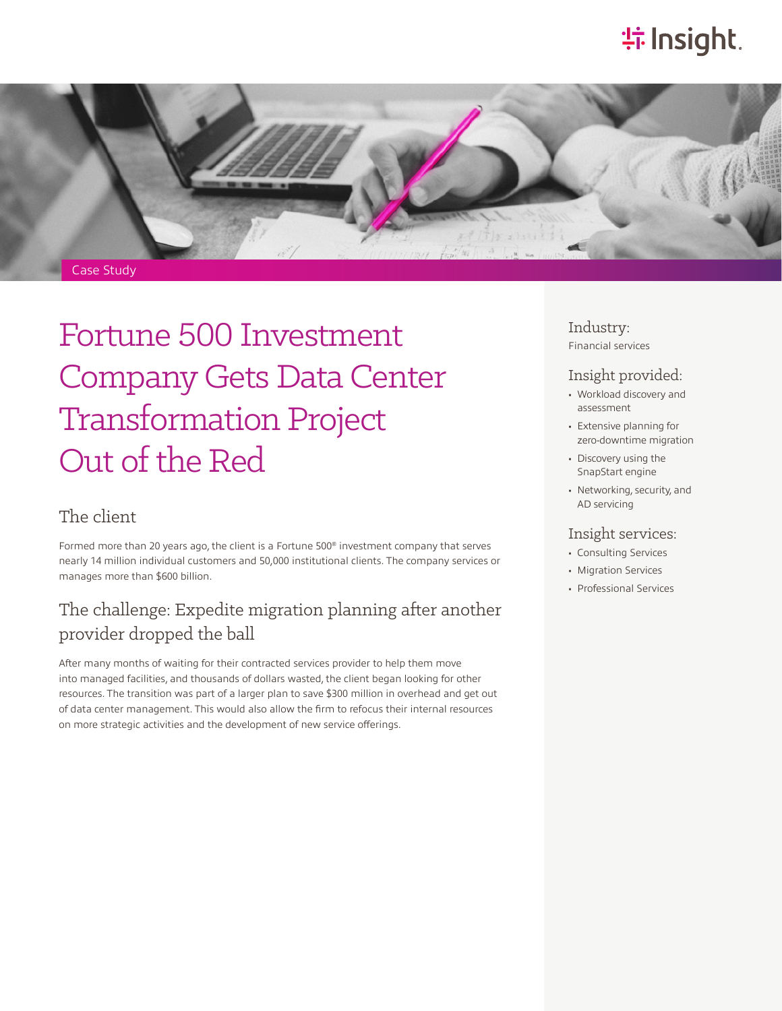# **特Insight**.



Fortune 500 Investment Company Gets Data Center Transformation Project Out of the Red

### The client

Formed more than 20 years ago, the client is a Fortune 500® investment company that serves nearly 14 million individual customers and 50,000 institutional clients. The company services or manages more than \$600 billion.

## The challenge: Expedite migration planning after another provider dropped the ball

After many months of waiting for their contracted services provider to help them move into managed facilities, and thousands of dollars wasted, the client began looking for other resources. The transition was part of a larger plan to save \$300 million in overhead and get out of data center management. This would also allow the firm to refocus their internal resources on more strategic activities and the development of new service offerings.

Industry: Financial services

#### Insight provided:

- Workload discovery and assessment
- Extensive planning for zero-downtime migration
- Discovery using the SnapStart engine
- Networking, security, and AD servicing

#### Insight services:

- Consulting Services
- Migration Services
- Professional Services